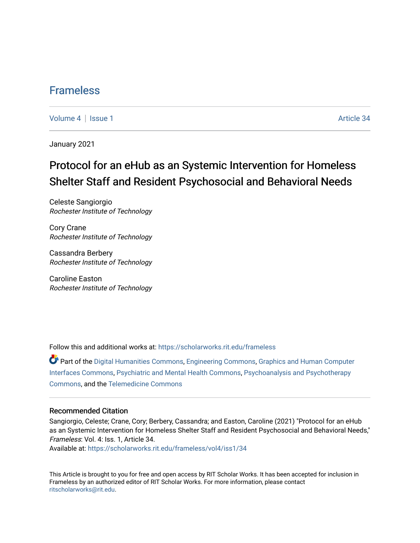## [Frameless](https://scholarworks.rit.edu/frameless)

[Volume 4](https://scholarworks.rit.edu/frameless/vol4) | [Issue 1](https://scholarworks.rit.edu/frameless/vol4/iss1) Article 34

January 2021

## Protocol for an eHub as an Systemic Intervention for Homeless Shelter Staff and Resident Psychosocial and Behavioral Needs

Celeste Sangiorgio Rochester Institute of Technology

Cory Crane Rochester Institute of Technology

Cassandra Berbery Rochester Institute of Technology

Caroline Easton Rochester Institute of Technology

Follow this and additional works at: [https://scholarworks.rit.edu/frameless](https://scholarworks.rit.edu/frameless?utm_source=scholarworks.rit.edu%2Fframeless%2Fvol4%2Fiss1%2F34&utm_medium=PDF&utm_campaign=PDFCoverPages)

Part of the [Digital Humanities Commons](https://network.bepress.com/hgg/discipline/1286?utm_source=scholarworks.rit.edu%2Fframeless%2Fvol4%2Fiss1%2F34&utm_medium=PDF&utm_campaign=PDFCoverPages), [Engineering Commons,](https://network.bepress.com/hgg/discipline/217?utm_source=scholarworks.rit.edu%2Fframeless%2Fvol4%2Fiss1%2F34&utm_medium=PDF&utm_campaign=PDFCoverPages) [Graphics and Human Computer](https://network.bepress.com/hgg/discipline/146?utm_source=scholarworks.rit.edu%2Fframeless%2Fvol4%2Fiss1%2F34&utm_medium=PDF&utm_campaign=PDFCoverPages)  [Interfaces Commons](https://network.bepress.com/hgg/discipline/146?utm_source=scholarworks.rit.edu%2Fframeless%2Fvol4%2Fiss1%2F34&utm_medium=PDF&utm_campaign=PDFCoverPages), [Psychiatric and Mental Health Commons](https://network.bepress.com/hgg/discipline/711?utm_source=scholarworks.rit.edu%2Fframeless%2Fvol4%2Fiss1%2F34&utm_medium=PDF&utm_campaign=PDFCoverPages), [Psychoanalysis and Psychotherapy](https://network.bepress.com/hgg/discipline/716?utm_source=scholarworks.rit.edu%2Fframeless%2Fvol4%2Fiss1%2F34&utm_medium=PDF&utm_campaign=PDFCoverPages)  [Commons](https://network.bepress.com/hgg/discipline/716?utm_source=scholarworks.rit.edu%2Fframeless%2Fvol4%2Fiss1%2F34&utm_medium=PDF&utm_campaign=PDFCoverPages), and the [Telemedicine Commons](https://network.bepress.com/hgg/discipline/1367?utm_source=scholarworks.rit.edu%2Fframeless%2Fvol4%2Fiss1%2F34&utm_medium=PDF&utm_campaign=PDFCoverPages) 

#### Recommended Citation

Sangiorgio, Celeste; Crane, Cory; Berbery, Cassandra; and Easton, Caroline (2021) "Protocol for an eHub as an Systemic Intervention for Homeless Shelter Staff and Resident Psychosocial and Behavioral Needs," Frameless: Vol. 4: Iss. 1, Article 34.

Available at: [https://scholarworks.rit.edu/frameless/vol4/iss1/34](https://scholarworks.rit.edu/frameless/vol4/iss1/34?utm_source=scholarworks.rit.edu%2Fframeless%2Fvol4%2Fiss1%2F34&utm_medium=PDF&utm_campaign=PDFCoverPages) 

This Article is brought to you for free and open access by RIT Scholar Works. It has been accepted for inclusion in Frameless by an authorized editor of RIT Scholar Works. For more information, please contact [ritscholarworks@rit.edu](mailto:ritscholarworks@rit.edu).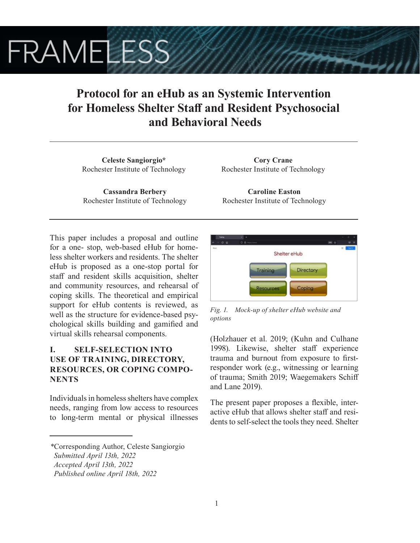# **FRAMELESS**

## **Protocol for an eHub as an Systemic Intervention for Homeless Shelter Staff and Resident Psychosocial and Behavioral Needs**

**Celeste Sangiorgio\*** Rochester Institute of Technology

**Cassandra Berbery** Rochester Institute of Technology

**Cory Crane** Rochester Institute of Technology

**Caroline Easton** Rochester Institute of Technology

This paper includes a proposal and outline for a one- stop, web-based eHub for homeless shelter workers and residents. The shelter eHub is proposed as a one-stop portal for staff and resident skills acquisition, shelter and community resources, and rehearsal of coping skills. The theoretical and empirical support for eHub contents is reviewed, as well as the structure for evidence-based psychological skills building and gamified and virtual skills rehearsal components.

## **I. SELF-SELECTION INTO USE OF TRAINING, DIRECTORY, RESOURCES, OR COPING COMPO-NENTS**

Individuals in homeless shelters have complex needs, ranging from low access to resources to long-term mental or physical illnesses



*Fig. 1. Mock-up of shelter eHub website and options*

(Holzhauer et al. 2019; (Kuhn and Culhane 1998). Likewise, shelter staff experience trauma and burnout from exposure to firstresponder work (e.g., witnessing or learning of trauma; Smith 2019; Waegemakers Schiff and Lane 2019).

The present paper proposes a flexible, interactive eHub that allows shelter staff and residents to self-select the tools they need. Shelter

*<sup>\*</sup>*Corresponding Author, Celeste Sangiorgio  *Submitted April 13th, 2022*

*Accepted April 13th, 2022*

*Published online April 18th, 2022*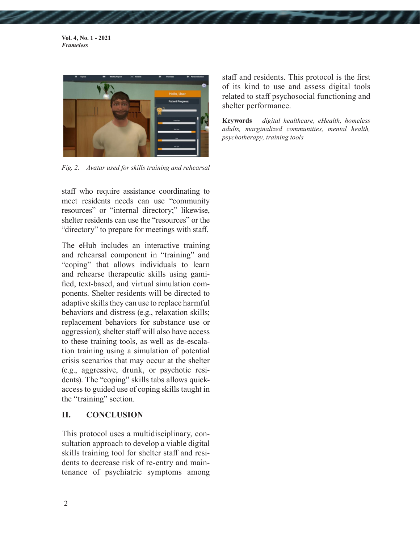**Vol. 4, No. 1 - 2021** *Frameless*



*Fig. 2. Avatar used for skills training and rehearsal*

staff who require assistance coordinating to meet residents needs can use "community resources" or "internal directory;" likewise, shelter residents can use the "resources" or the "directory" to prepare for meetings with staff.

The eHub includes an interactive training and rehearsal component in "training" and "coping" that allows individuals to learn and rehearse therapeutic skills using gamified, text-based, and virtual simulation components. Shelter residents will be directed to adaptive skills they can use to replace harmful behaviors and distress (e.g., relaxation skills; replacement behaviors for substance use or aggression); shelter staff will also have access to these training tools, as well as de-escalation training using a simulation of potential crisis scenarios that may occur at the shelter (e.g., aggressive, drunk, or psychotic residents). The "coping" skills tabs allows quickaccess to guided use of coping skills taught in the "training" section.

#### **II. CONCLUSION**

This protocol uses a multidisciplinary, consultation approach to develop a viable digital skills training tool for shelter staff and residents to decrease risk of re-entry and maintenance of psychiatric symptoms among staff and residents. This protocol is the first of its kind to use and assess digital tools related to staff psychosocial functioning and shelter performance.

**Keywords**— *digital healthcare, eHealth, homeless adults, marginalized communities, mental health, psychotherapy, training tools*